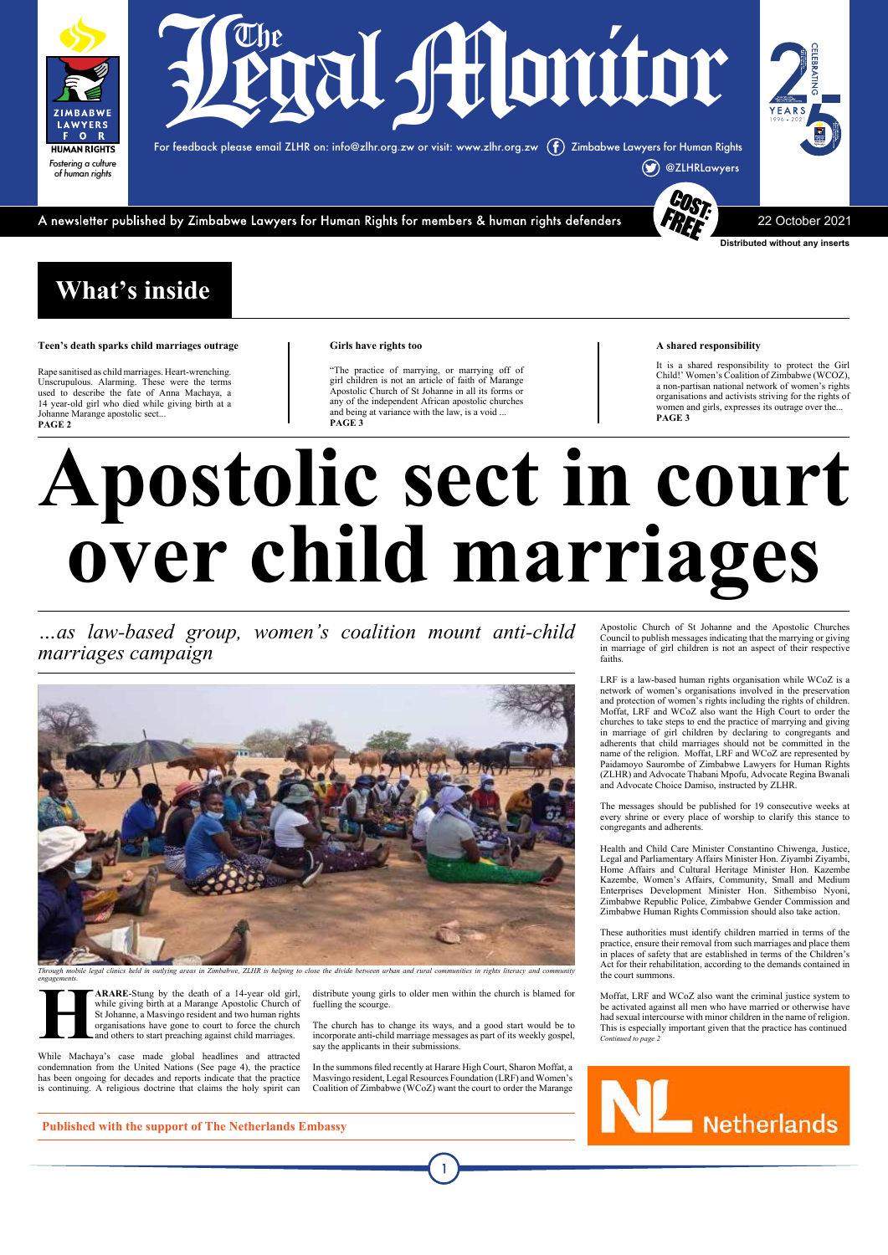#### **A shared responsibility**

It is a shared responsibility to protect the Girl Child!' Women's Coalition of Zimbabwe (WCOZ), a non-partisan national network of women's rights organisations and activists striving for the rights of women and girls, expresses its outrage over the... **PAGE 3**

## **What's inside**

#### **Teen's death sparks child marriages outrage**

Rape sanitised as child marriages. Heart-wrenching. Unscrupulous. Alarming. These were the terms used to describe the fate of Anna Machaya, a 14 year-old girl who died while giving birth at a Johanne Marange apostolic sect... **PAGE 2**

#### **Girls have rights too**

"The practice of marrying, or marrying off of girl children is not an article of faith of Marange Apostolic Church of St Johanne in all its forms or any of the independent African apostolic churches and being at variance with the law, is a void ... **PAGE 3**

**HARARE-Stung by the death of a 14-year old girl,** while giving birth at a Marange Apostolic Church of St Johanne, a Masvingo resident and two human rights organisations have gone to court to force the church and others to while giving birth at a Marange Apostolic Church of St Johanne, a Masvingo resident and two human rights organisations have gone to court to force the church and others to start preaching against child marriages.



**Distributed without any inserts**

For feedback please email ZLHR on: info@zlhr.org.zw or visit: www.zlhr.org.zw Zimbabwe Lawyers for Human Rights



A newsletter published by Zimbabwe Lawyers for Human Rights for members & human rights defenders

22 October 2021



# **Apostolic sect in court over child marriages**

*…as law-based group, women's coalition mount anti-child marriages campaign* 



While Machaya's case made global headlines and attracted condemnation from the United Nations (See page 4), the practice has been ongoing for decades and reports indicate that the practice is continuing. A religious doctrine that claims the holy spirit can distribute young girls to older men within the church is blamed for fuelling the scourge.

The church has to change its ways, and a good start would be to incorporate anti-child marriage messages as part of its weekly gospel, say the applicants in their submissions.

In the summons filed recently at Harare High Court, Sharon Moffat, a Masvingo resident, Legal Resources Foundation (LRF) and Women's Coalition of Zimbabwe (WCoZ) want the court to order the Marange Apostolic Church of St Johanne and the Apostolic Churches Council to publish messages indicating that the marrying or giving in marriage of girl children is not an aspect of their respective faiths.

LRF is a law-based human rights organisation while WCoZ is a network of women's organisations involved in the preservation and protection of women's rights including the rights of children. Moffat, LRF and WCoZ also want the High Court to order the churches to take steps to end the practice of marrying and giving in marriage of girl children by declaring to congregants and adherents that child marriages should not be committed in the name of the religion. Moffat, LRF and WCoZ are represented by Paidamoyo Saurombe of Zimbabwe Lawyers for Human Rights (ZLHR) and Advocate Thabani Mpofu, Advocate Regina Bwanali and Advocate Choice Damiso, instructed by ZLHR.

The messages should be published for 19 consecutive weeks at every shrine or every place of worship to clarify this stance to congregants and adherents.

Health and Child Care Minister Constantino Chiwenga, Justice, Legal and Parliamentary Affairs Minister Hon. Ziyambi Ziyambi, Home Affairs and Cultural Heritage Minister Hon. Kazembe Kazembe, Women's Affairs, Community, Small and Medium Enterprises Development Minister Hon. Sithembiso Nyoni, Zimbabwe Republic Police, Zimbabwe Gender Commission and Zimbabwe Human Rights Commission should also take action.

These authorities must identify children married in terms of the practice, ensure their removal from such marriages and place them in places of safety that are established in terms of the Children's Act for their rehabilitation, according to the demands contained in the court summons.

Moffat, LRF and WCoZ also want the criminal justice system to be activated against all men who have married or otherwise have had sexual intercourse with minor children in the name of religion. This is especially important given that the practice has continued *Continued to page 2*



**Published with the support of The Netherlands Embassy**

*Through mobile legal clinics held in outlying areas in Zimbabwe, ZLHR is helping to close the divide between urban and rural communities in rights literacy and community engagements.*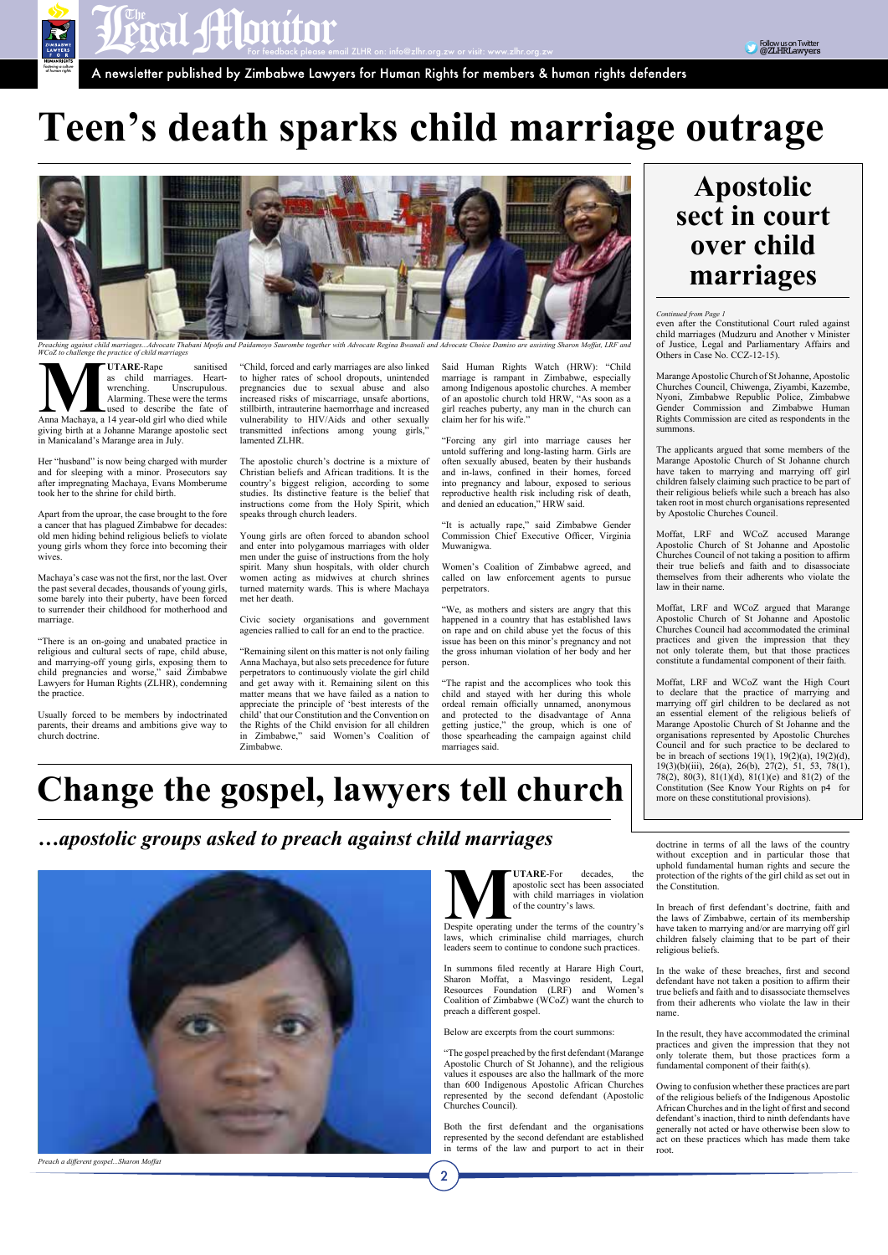

## **Teen's death sparks child marriage outrage**



Preaching against child marriages…Advocate Thabani Mpofu and Paidamoyo Saurombe together with Advocate Regina Bwanali and Advocate Choice Damiso are assisting Sharon Moffat, LRF and<br>WCoZ to challenge the practice of child

**MUTARE**-Rape sanitised<br>
as child marriages. Heart-<br>
wrenching. Unscrupulous.<br>
Alarming. These were the terms<br>
used to describe the fate of<br>
Anna Machaya, a 14 year-old girl who died while as child marriages. Heartwrenching. Unscrupulous. Alarming. These were the terms used to describe the fate of giving birth at a Johanne Marange apostolic sect in Manicaland's Marange area in July.

Her "husband" is now being charged with murder and for sleeping with a minor. Prosecutors say after impregnating Machaya, Evans Momberume took her to the shrine for child birth.

Apart from the uproar, the case brought to the fore a cancer that has plagued Zimbabwe for decades: old men hiding behind religious beliefs to violate young girls whom they force into becoming their wives.

Machaya's case was not the first, nor the last. Over the past several decades, thousands of young girls, some barely into their puberty, have been forced to surrender their childhood for motherhood and marriage.

"There is an on-going and unabated practice in religious and cultural sects of rape, child abuse, and marrying-off young girls, exposing them to child pregnancies and worse," said Zimbabwe Lawyers for Human Rights (ZLHR), condemning the practice.

Usually forced to be members by indoctrinated parents, their dreams and ambitions give way to church doctrine.

"Child, forced and early marriages are also linked to higher rates of school dropouts, unintended pregnancies due to sexual abuse and also increased risks of miscarriage, unsafe abortions, stillbirth, intrauterine haemorrhage and increased vulnerability to HIV/Aids and other sexually transmitted infections among young girls," lamented ZLHR.

The apostolic church's doctrine is a mixture of Christian beliefs and African traditions. It is the country's biggest religion, according to some studies. Its distinctive feature is the belief that instructions come from the Holy Spirit, which speaks through church leaders.

Young girls are often forced to abandon school and enter into polygamous marriages with older men under the guise of instructions from the holy spirit. Many shun hospitals, with older church women acting as midwives at church shrines turned maternity wards. This is where Machaya met her death.

> **MUTARE-For decades, the apostolic sect has been associated with child marriages in violation** of the country's laws. apostolic sect has been associated with child marriages in violation of the country's laws.

Civic society organisations and government agencies rallied to call for an end to the practice.

"Remaining silent on this matter is not only failing Anna Machaya, but also sets precedence for future perpetrators to continuously violate the girl child and get away with it. Remaining silent on this matter means that we have failed as a nation to appreciate the principle of 'best interests of the child' that our Constitution and the Convention on the Rights of the Child envision for all children in Zimbabwe," said Women's Coalition of Zimbabwe.

Said Human Rights Watch (HRW): "Child marriage is rampant in Zimbabwe, especially among Indigenous apostolic churches. A member of an apostolic church told HRW, "As soon as a girl reaches puberty, any man in the church can claim her for his wife."

"Forcing any girl into marriage causes her untold suffering and long-lasting harm. Girls are often sexually abused, beaten by their husbands and in-laws, confined in their homes, forced into pregnancy and labour, exposed to serious reproductive health risk including risk of death, and denied an education," HRW said.

"It is actually rape," said Zimbabwe Gender Commission Chief Executive Officer, Virginia Muwanigwa.

Women's Coalition of Zimbabwe agreed, and called on law enforcement agents to pursue perpetrators.

"We, as mothers and sisters are angry that this happened in a country that has established laws on rape and on child abuse yet the focus of this issue has been on this minor's pregnancy and not the gross inhuman violation of her body and her person.

"The rapist and the accomplices who took this child and stayed with her during this whole ordeal remain officially unnamed, anonymous and protected to the disadvantage of Anna getting justice," the group, which is one of those spearheading the campaign against child marriages said.

## **Apostolic sect in court over child marriages**

**Change the gospel, lawyers tell church**

*…apostolic groups asked to preach against child marriages*



 $\overline{2}$ 

laws, which criminalise child marriages, church

leaders seem to continue to condone such practices.

In summons filed recently at Harare High Court, Sharon Moffat, a Masvingo resident, Legal Resources Foundation (LRF) and Women's Coalition of Zimbabwe (WCoZ) want the church to preach a different gospel.

Below are excerpts from the court summons:

"The gospel preached by the first defendant (Marange Apostolic Church of St Johanne), and the religious values it espouses are also the hallmark of the more than 600 Indigenous Apostolic African Churches represented by the second defendant (Apostolic Churches Council).

Both the first defendant and the organisations represented by the second defendant are established in terms of the law and purport to act in their *Continued from Page 1*

even after the Constitutional Court ruled against child marriages (Mudzuru and Another v Minister of Justice, Legal and Parliamentary Affairs and Others in Case No. CCZ-12-15).

Marange Apostolic Church of St Johanne, Apostolic Churches Council, Chiwenga, Ziyambi, Kazembe, Nyoni, Zimbabwe Republic Police, Zimbabwe Gender Commission and Zimbabwe Human Rights Commission are cited as respondents in the summons.

The applicants argued that some members of the Marange Apostolic Church of St Johanne church have taken to marrying and marrying off girl children falsely claiming such practice to be part of their religious beliefs while such a breach has also taken root in most church organisations represented by Apostolic Churches Council.

Moffat, LRF and WCoZ accused Marange Apostolic Church of St Johanne and Apostolic Churches Council of not taking a position to affirm their true beliefs and faith and to disassociate themselves from their adherents who violate the law in their name.

Moffat, LRF and WCoZ argued that Marange Apostolic Church of St Johanne and Apostolic Churches Council had accommodated the criminal practices and given the impression that they not only tolerate them, but that those practices constitute a fundamental component of their faith.

Moffat, LRF and WCoZ want the High Court to declare that the practice of marrying and marrying off girl children to be declared as not an essential element of the religious beliefs of Marange Apostolic Church of St Johanne and the organisations represented by Apostolic Churches Council and for such practice to be declared to be in breach of sections 19(1), 19(2)(a), 19(2)(d), 19(3)(b)(iii), 26(a), 26(b), 27(2), 51, 53, 78(1), 78(2), 80(3), 81(1)(d), 81(1)(e) and 81(2) of the Constitution (See Know Your Rights on p4 for more on these constitutional provisions).

doctrine in terms of all the laws of the country without exception and in particular those that uphold fundamental human rights and secure the protection of the rights of the girl child as set out in the Constitution.

In breach of first defendant's doctrine, faith and the laws of Zimbabwe, certain of its membership have taken to marrying and/or are marrying off girl children falsely claiming that to be part of their

religious beliefs.

In the wake of these breaches, first and second defendant have not taken a position to affirm their true beliefs and faith and to disassociate themselves from their adherents who violate the law in their name.

In the result, they have accommodated the criminal practices and given the impression that they not only tolerate them, but those practices form a fundamental component of their faith(s).

Owing to confusion whether these practices are part of the religious beliefs of the Indigenous Apostolic African Churches and in the light of first and second defendant's inaction, third to ninth defendants have generally not acted or have otherwise been slow to act on these practices which has made them take root.

*Preach a different gospel...Sharon Moffat*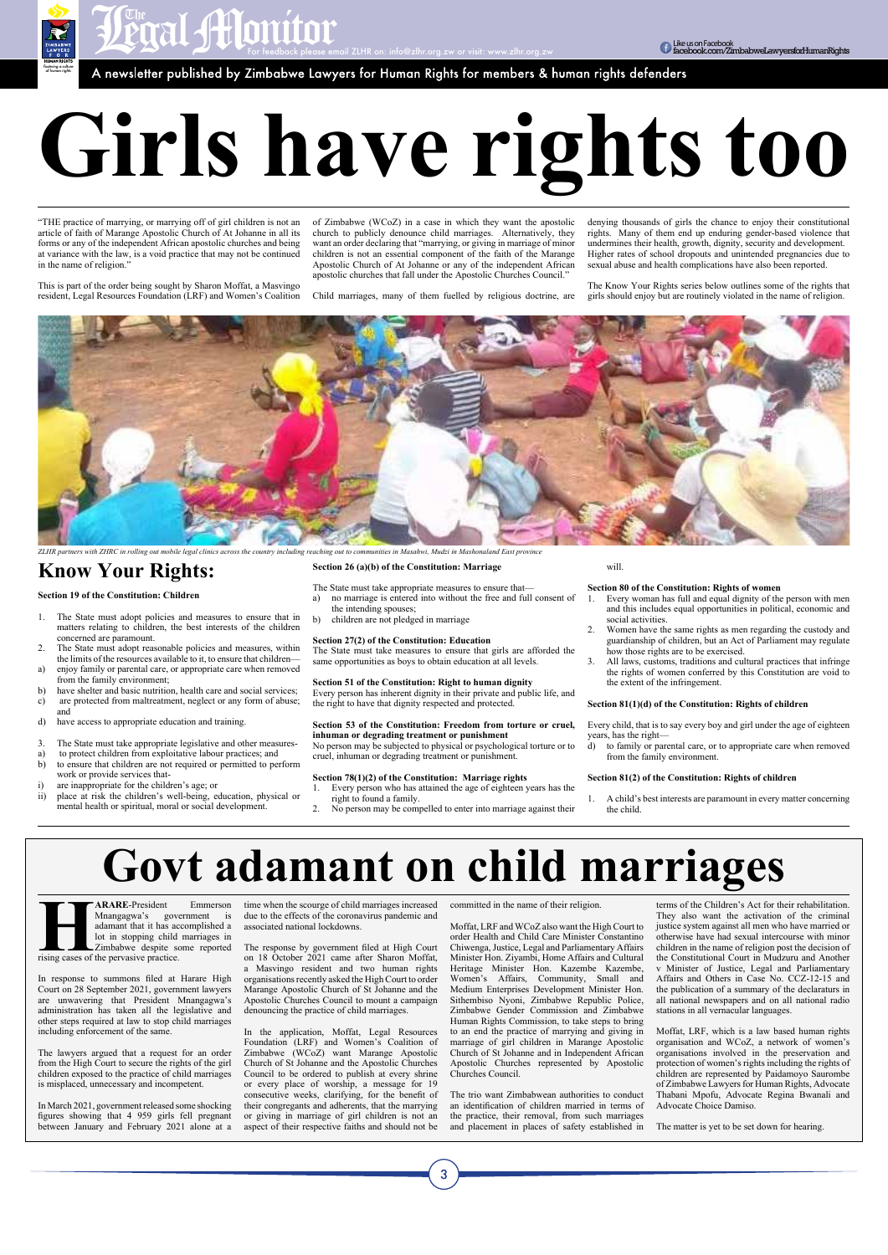**Entrance of the Control of the Control of the Constant of the Constant of the Constant of the Constant of the Constant of the Constant of the Constant of the Constant of the Constant of the Constant of the Constant of the** 

"THE practice of marrying, or marrying off of girl children is not an article of faith of Marange Apostolic Church of At Johanne in all its forms or any of the independent African apostolic churches and being at variance with the law, is a void practice that may not be continued in the name of religion."

*Fostering a culture of human rights*

# **Girls have rights too**

This is part of the order being sought by Sharon Moffat, a Masvingo resident, Legal Resources Foundation (LRF) and Women's Coalition of Zimbabwe (WCoZ) in a case in which they want the apostolic church to publicly denounce child marriages. Alternatively, they want an order declaring that "marrying, or giving in marriage of minor children is not an essential component of the faith of the Marange Apostolic Church of At Johanne or any of the independent African apostolic churches that fall under the Apostolic Churches Council."

Child marriages, many of them fuelled by religious doctrine, are

denying thousands of girls the chance to enjoy their constitutional rights. Many of them end up enduring gender-based violence that undermines their health, growth, dignity, security and development. Higher rates of school dropouts and unintended pregnancies due to sexual abuse and health complications have also been reported.

The Know Your Rights series below outlines some of the rights that girls should enjoy but are routinely violated in the name of religion.

### **Know Your Rights:**

**Section 19 of the Constitution: Children** 

- 1. The State must adopt policies and measures to ensure that in matters relating to children, the best interests of the children concerned are paramount.
- 2. The State must adopt reasonable policies and measures, within the limits of the resources available to it, to ensure that children a) enjoy family or parental care, or appropriate care when removed
- from the family environment;
- b) have shelter and basic nutrition, health care and social services;
- c) are protected from maltreatment, neglect or any form of abuse; and
- d) have access to appropriate education and training.
- 3. The State must take appropriate legislative and other measures-
- a) to protect children from exploitative labour practices; and
- b) to ensure that children are not required or permitted to perform work or provide services that-
- i) are inappropriate for the children's age; or
- ii) place at risk the children's well-being, education, physical or mental health or spiritual, moral or social development.

**HARARE-President** Emmerson<br>
Mnangagwa's government is<br>
adamant that it has accomplished a<br>
lot in stopping child marriages in<br>
Zimbabwe despite some reported<br>
rising cases of the pervasive practice. Mnangagwa's government is adamant that it has accomplished a lot in stopping child marriages in

#### **Section 26 (a)(b) of the Constitution: Marriage**

- The State must take appropriate measures to ensure that a) no marriage is entered into without the free and full consent of
- the intending spouses;
- b) children are not pledged in marriage

#### **Section 27(2) of the Constitution: Education**

The State must take measures to ensure that girls are afforded the same opportunities as boys to obtain education at all levels.

**Section 51 of the Constitution: Right to human dignity**  Every person has inherent dignity in their private and public life, and the right to have that dignity respected and protected.

#### **Section 53 of the Constitution: Freedom from torture or cruel, inhuman or degrading treatment or punishment**

No person may be subjected to physical or psychological torture or to cruel, inhuman or degrading treatment or punishment.

#### **Section 78(1)(2) of the Constitution: Marriage rights**

- 1. Every person who has attained the age of eighteen years has the right to found a family.
- 2. No person may be compelled to enter into marriage against their

will.

#### **Section 80 of the Constitution: Rights of women**

- 1. Every woman has full and equal dignity of the person with men and this includes equal opportunities in political, economic and social activities.
- 2. Women have the same rights as men regarding the custody and guardianship of children, but an Act of Parliament may regulate how those rights are to be exercised.
- 3. All laws, customs, traditions and cultural practices that infringe the rights of women conferred by this Constitution are void to the extent of the infringement.

#### **Section 81(1)(d) of the Constitution: Rights of children**

Every child, that is to say every boy and girl under the age of eighteen years, has the right—

d) to family or parental care, or to appropriate care when removed from the family environment.

#### **Section 81(2) of the Constitution: Rights of children**

1. A child's best interests are paramount in every matter concerning the child.

Zimbabwe despite some reported rising cases of the pervasive practice.

In response to summons filed at Harare High Court on 28 September 2021, government lawyers are unwavering that President Mnangagwa's administration has taken all the legislative and other steps required at law to stop child marriages including enforcement of the same.

The lawyers argued that a request for an order from the High Court to secure the rights of the girl children exposed to the practice of child marriages is misplaced, unnecessary and incompetent.

In March 2021, government released some shocking figures showing that 4 959 girls fell pregnant between January and February 2021 alone at a

time when the scourge of child marriages increased due to the effects of the coronavirus pandemic and associated national lockdowns.

The response by government filed at High Court

on 18 October 2021 came after Sharon Moffat, a Masvingo resident and two human rights organisations recently asked the High Court to order Marange Apostolic Church of St Johanne and the Apostolic Churches Council to mount a campaign denouncing the practice of child marriages.

In the application, Moffat, Legal Resources Foundation (LRF) and Women's Coalition of Zimbabwe (WCoZ) want Marange Apostolic Church of St Johanne and the Apostolic Churches Council to be ordered to publish at every shrine or every place of worship, a message for 19 consecutive weeks, clarifying, for the benefit of their congregants and adherents, that the marrying or giving in marriage of girl children is not an aspect of their respective faiths and should not be committed in the name of their religion.

Moffat, LRF and WCoZ also want the High Court to order Health and Child Care Minister Constantino Chiwenga, Justice, Legal and Parliamentary Affairs Minister Hon. Ziyambi, Home Affairs and Cultural Heritage Minister Hon. Kazembe Kazembe, Women's Affairs, Community, Small and Medium Enterprises Development Minister Hon. Sithembiso Nyoni, Zimbabwe Republic Police, Zimbabwe Gender Commission and Zimbabwe Human Rights Commission, to take steps to bring to an end the practice of marrying and giving in marriage of girl children in Marange Apostolic Church of St Johanne and in Independent African Apostolic Churches represented by Apostolic Churches Council.

terms of the Children's Act for their rehabilitation. They also want the activation of the criminal justice system against all men who have married or otherwise have had sexual intercourse with minor children in the name of religion post the decision of the Constitutional Court in Mudzuru and Another v Minister of Justice, Legal and Parliamentary Affairs and Others in Case No. CCZ-12-15 and the publication of a summary of the declaraturs in all national newspapers and on all national radio stations in all vernacular languages.

The trio want Zimbabwean authorities to conduct an identification of children married in terms of the practice, their removal, from such marriages and placement in places of safety established in The matter is yet to be set down for hearing.

Moffat, LRF, which is a law based human rights organisation and WCoZ, a network of women's organisations involved in the preservation and protection of women's rights including the rights of children are represented by Paidamoyo Saurombe of Zimbabwe Lawyers for Human Rights, Advocate Thabani Mpofu, Advocate Regina Bwanali and Advocate Choice Damiso.

## **Govt adamant on child marriages**

3